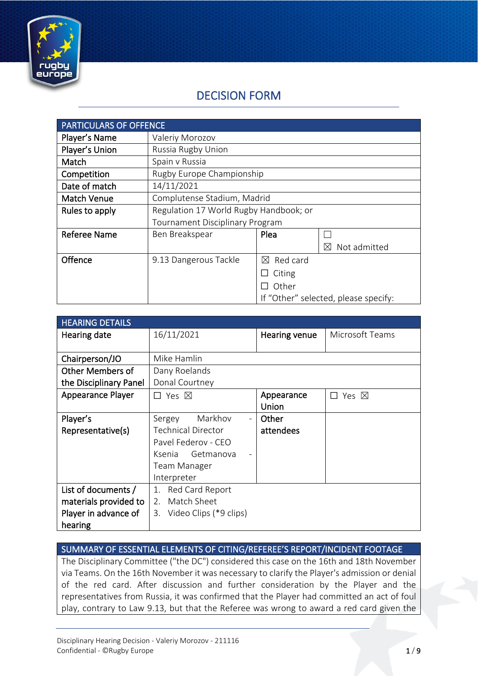

# DECISION FORM

| <b>PARTICULARS OF OFFENCE</b> |                                        |                         |                                      |
|-------------------------------|----------------------------------------|-------------------------|--------------------------------------|
| Player's Name                 | Valeriy Morozov                        |                         |                                      |
| Player's Union                | Russia Rugby Union                     |                         |                                      |
| Match                         | Spain v Russia                         |                         |                                      |
| Competition                   | Rugby Europe Championship              |                         |                                      |
| Date of match                 | 14/11/2021                             |                         |                                      |
| <b>Match Venue</b>            | Complutense Stadium, Madrid            |                         |                                      |
| Rules to apply                | Regulation 17 World Rugby Handbook; or |                         |                                      |
|                               | <b>Tournament Disciplinary Program</b> |                         |                                      |
| <b>Referee Name</b>           | Ben Breakspear                         | Plea                    |                                      |
|                               |                                        |                         | Not admitted<br>M                    |
| Offence                       | 9.13 Dangerous Tackle                  | Red card<br>$\boxtimes$ |                                      |
|                               |                                        | Citing                  |                                      |
|                               |                                        | Other                   |                                      |
|                               |                                        |                         | If "Other" selected, please specify: |

| <b>HEARING DETAILS</b> |                                               |               |                            |
|------------------------|-----------------------------------------------|---------------|----------------------------|
| Hearing date           | 16/11/2021                                    | Hearing venue | Microsoft Teams            |
|                        |                                               |               |                            |
| Chairperson/JO         | Mike Hamlin                                   |               |                            |
| Other Members of       | Dany Roelands                                 |               |                            |
| the Disciplinary Panel | Donal Courtney                                |               |                            |
| Appearance Player      | $\Box$ Yes $\boxtimes$                        | Appearance    | Yes $\boxtimes$<br>$\perp$ |
|                        |                                               | Union         |                            |
| Player's               | Markhov<br>Sergey<br>$\overline{\phantom{a}}$ | Other         |                            |
| Representative(s)      | <b>Technical Director</b>                     | attendees     |                            |
|                        | Pavel Federov - CEO                           |               |                            |
|                        | Ksenia Getmanova                              |               |                            |
|                        | Team Manager                                  |               |                            |
|                        | Interpreter                                   |               |                            |
| List of documents /    | 1. Red Card Report                            |               |                            |
| materials provided to  | 2. Match Sheet                                |               |                            |
| Player in advance of   | 3. Video Clips (*9 clips)                     |               |                            |
| hearing                |                                               |               |                            |

SUMMARY OF ESSENTIAL ELEMENTS OF CITING/REFEREE'S REPORT/INCIDENT FOOTAGE

The Disciplinary Committee ("the DC") considered this case on the 16th and 18th November via Teams. On the 16th November it was necessary to clarify the Player's admission or denial of the red card. After discussion and further consideration by the Player and the representatives from Russia, it was confirmed that the Player had committed an act of foul play, contrary to Law 9.13, but that the Referee was wrong to award a red card given the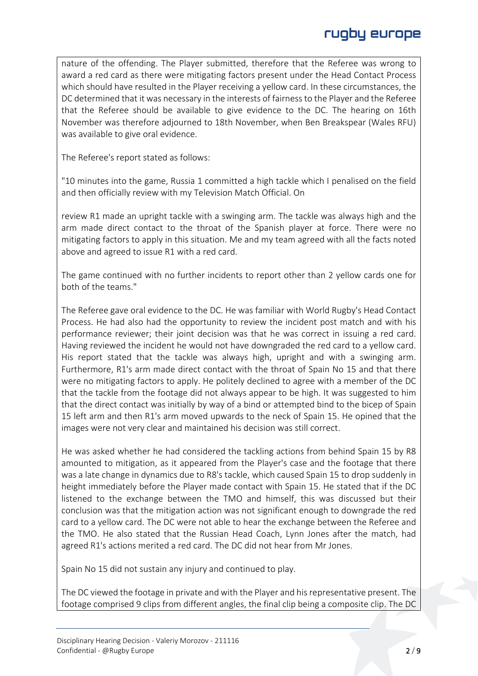nature of the offending. The Player submitted, therefore that the Referee was wrong to award a red card as there were mitigating factors present under the Head Contact Process which should have resulted in the Player receiving a yellow card. In these circumstances, the DC determined that it was necessary in the interests of fairness to the Player and the Referee that the Referee should be available to give evidence to the DC. The hearing on 16th November was therefore adjourned to 18th November, when Ben Breakspear (Wales RFU) was available to give oral evidence.

The Referee's report stated as follows:

"10 minutes into the game, Russia 1 committed a high tackle which I penalised on the field and then officially review with my Television Match Official. On

review R1 made an upright tackle with a swinging arm. The tackle was always high and the arm made direct contact to the throat of the Spanish player at force. There were no mitigating factors to apply in this situation. Me and my team agreed with all the facts noted above and agreed to issue R1 with a red card.

The game continued with no further incidents to report other than 2 yellow cards one for both of the teams."

The Referee gave oral evidence to the DC. He was familiar with World Rugby's Head Contact Process. He had also had the opportunity to review the incident post match and with his performance reviewer; their joint decision was that he was correct in issuing a red card. Having reviewed the incident he would not have downgraded the red card to a yellow card. His report stated that the tackle was always high, upright and with a swinging arm. Furthermore, R1's arm made direct contact with the throat of Spain No 15 and that there were no mitigating factors to apply. He politely declined to agree with a member of the DC that the tackle from the footage did not always appear to be high. It was suggested to him that the direct contact was initially by way of a bind or attempted bind to the bicep of Spain 15 left arm and then R1's arm moved upwards to the neck of Spain 15. He opined that the images were not very clear and maintained his decision was still correct.

He was asked whether he had considered the tackling actions from behind Spain 15 by R8 amounted to mitigation, as it appeared from the Player's case and the footage that there was a late change in dynamics due to R8's tackle, which caused Spain 15 to drop suddenly in height immediately before the Player made contact with Spain 15. He stated that if the DC listened to the exchange between the TMO and himself, this was discussed but their conclusion was that the mitigation action was not significant enough to downgrade the red card to a yellow card. The DC were not able to hear the exchange between the Referee and the TMO. He also stated that the Russian Head Coach, Lynn Jones after the match, had agreed R1's actions merited a red card. The DC did not hear from Mr Jones.

Spain No 15 did not sustain any injury and continued to play.

The DC viewed the footage in private and with the Player and his representative present. The footage comprised 9 clips from different angles, the final clip being a composite clip. The DC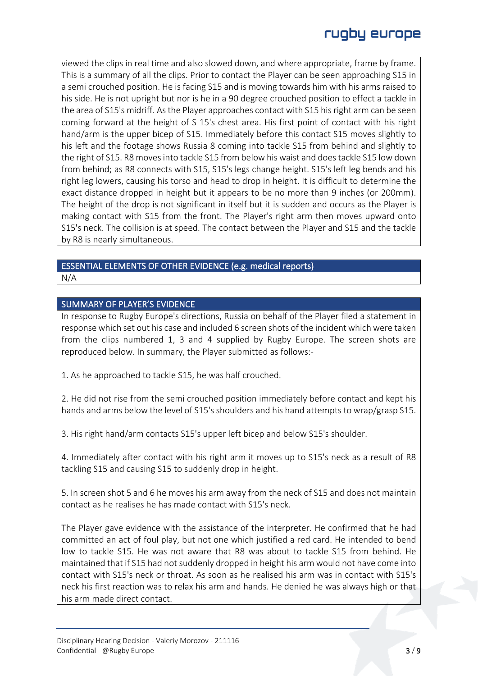viewed the clips in real time and also slowed down, and where appropriate, frame by frame. This is a summary of all the clips. Prior to contact the Player can be seen approaching S15 in a semi crouched position. He is facing S15 and is moving towards him with his arms raised to his side. He is not upright but nor is he in a 90 degree crouched position to effect a tackle in the area of S15's midriff. As the Player approaches contact with S15 his right arm can be seen coming forward at the height of S 15's chest area. His first point of contact with his right hand/arm is the upper bicep of S15. Immediately before this contact S15 moves slightly to his left and the footage shows Russia 8 coming into tackle S15 from behind and slightly to the right of S15. R8 moves into tackle S15 from below his waist and does tackle S15 low down from behind; as R8 connects with S15, S15's legs change height. S15's left leg bends and his right leg lowers, causing his torso and head to drop in height. It is difficult to determine the exact distance dropped in height but it appears to be no more than 9 inches (or 200mm). The height of the drop is not significant in itself but it is sudden and occurs as the Player is making contact with S15 from the front. The Player's right arm then moves upward onto S15's neck. The collision is at speed. The contact between the Player and S15 and the tackle by R8 is nearly simultaneous.

# ESSENTIAL ELEMENTS OF OTHER EVIDENCE (e.g. medical reports)

N/A

#### SUMMARY OF PLAYER'S EVIDENCE

In response to Rugby Europe's directions, Russia on behalf of the Player filed a statement in response which set out his case and included 6 screen shots of the incident which were taken from the clips numbered 1, 3 and 4 supplied by Rugby Europe. The screen shots are reproduced below. In summary, the Player submitted as follows:-

1. As he approached to tackle S15, he was half crouched.

2. He did not rise from the semi crouched position immediately before contact and kept his hands and arms below the level of S15's shoulders and his hand attempts to wrap/grasp S15.

3. His right hand/arm contacts S15's upper left bicep and below S15's shoulder.

4. Immediately after contact with his right arm it moves up to S15's neck as a result of R8 tackling S15 and causing S15 to suddenly drop in height.

5. In screen shot 5 and 6 he moves his arm away from the neck of S15 and does not maintain contact as he realises he has made contact with S15's neck.

The Player gave evidence with the assistance of the interpreter. He confirmed that he had committed an act of foul play, but not one which justified a red card. He intended to bend low to tackle S15. He was not aware that R8 was about to tackle S15 from behind. He maintained that if S15 had not suddenly dropped in height his arm would not have come into contact with S15's neck or throat. As soon as he realised his arm was in contact with S15's neck his first reaction was to relax his arm and hands. He denied he was always high or that his arm made direct contact.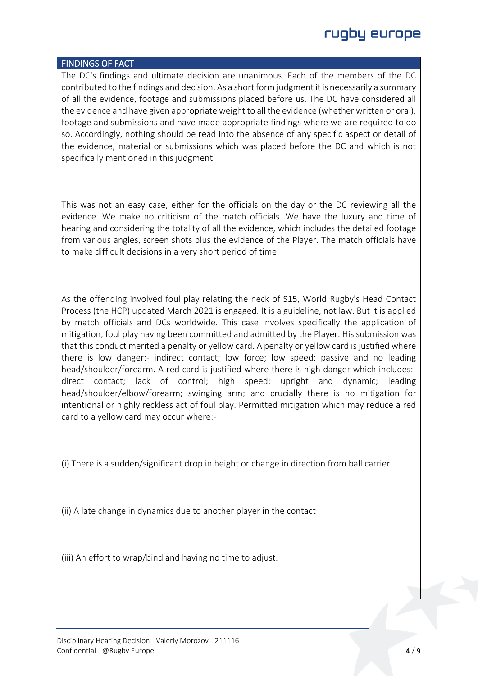# rugby europe

#### FINDINGS OF FACT

The DC's findings and ultimate decision are unanimous. Each of the members of the DC contributed to the findings and decision. As a short form judgment it is necessarily a summary of all the evidence, footage and submissions placed before us. The DC have considered all the evidence and have given appropriate weight to all the evidence (whether written or oral), footage and submissions and have made appropriate findings where we are required to do so. Accordingly, nothing should be read into the absence of any specific aspect or detail of the evidence, material or submissions which was placed before the DC and which is not specifically mentioned in this judgment.

This was not an easy case, either for the officials on the day or the DC reviewing all the evidence. We make no criticism of the match officials. We have the luxury and time of hearing and considering the totality of all the evidence, which includes the detailed footage from various angles, screen shots plus the evidence of the Player. The match officials have to make difficult decisions in a very short period of time.

As the offending involved foul play relating the neck of S15, World Rugby's Head Contact Process (the HCP) updated March 2021 is engaged. It is a guideline, not law. But it is applied by match officials and DCs worldwide. This case involves specifically the application of mitigation, foul play having been committed and admitted by the Player. His submission was that this conduct merited a penalty or yellow card. A penalty or yellow card is justified where there is low danger:- indirect contact; low force; low speed; passive and no leading head/shoulder/forearm. A red card is justified where there is high danger which includes: direct contact; lack of control; high speed; upright and dynamic; leading head/shoulder/elbow/forearm; swinging arm; and crucially there is no mitigation for intentional or highly reckless act of foul play. Permitted mitigation which may reduce a red card to a yellow card may occur where:-

(i) There is a sudden/significant drop in height or change in direction from ball carrier

(ii) A late change in dynamics due to another player in the contact

(iii) An effort to wrap/bind and having no time to adjust.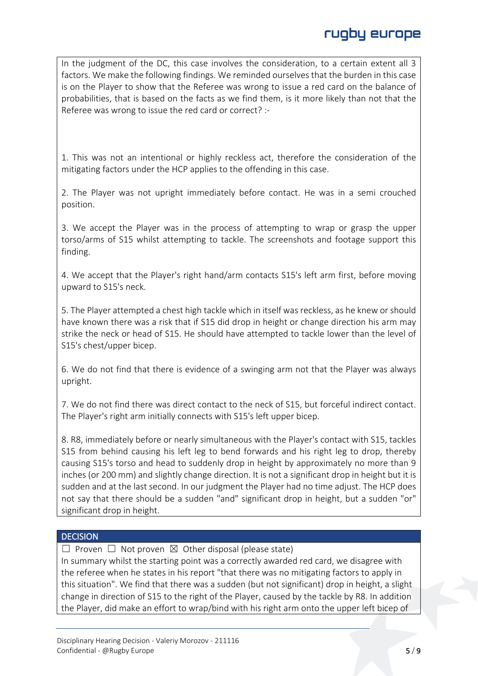In the judgment of the DC, this case involves the consideration, to a certain extent all 3 factors. We make the following findings. We reminded ourselves that the burden in this case is on the Player to show that the Referee was wrong to issue a red card on the balance of probabilities, that is based on the facts as we find them, is it more likely than not that the Referee was wrong to issue the red card or correct? :-

1. This was not an intentional or highly reckless act, therefore the consideration of the mitigating factors under the HCP applies to the offending in this case.

2. The Player was not upright immediately before contact. He was in a semi crouched position.

3. We accept the Player was in the process of attempting to wrap or grasp the upper torso/arms of S15 whilst attempting to tackle. The screenshots and footage support this finding.

4. We accept that the Player's right hand/arm contacts S15's left arm first, before moving upward to S15's neck.

5. The Player attempted a chest high tackle which in itself was reckless, as he knew or should have known there was a risk that if S15 did drop in height or change direction his arm may strike the neck or head of S15. He should have attempted to tackle lower than the level of S15's chest/upper bicep.

6. We do not find that there is evidence of a swinging arm not that the Player was always upright.

7. We do not find there was direct contact to the neck of S15, but forceful indirect contact. The Player's right arm initially connects with S15's left upper bicep.

8. R8, immediately before or nearly simultaneous with the Player's contact with S15, tackles S15 from behind causing his left leg to bend forwards and his right leg to drop, thereby causing S15's torso and head to suddenly drop in height by approximately no more than 9 inches (or 200 mm) and slightly change direction. It is not a significant drop in height but it is sudden and at the last second. In our judgment the Player had no time adjust. The HCP does not say that there should be a sudden "and" significant drop in height, but a sudden "or" significant drop in height.

#### **DECISION**

 $\Box$  Proven  $\Box$  Not proven  $\boxtimes$  Other disposal (please state)

In summary whilst the starting point was a correctly awarded red card, we disagree with the referee when he states in his report "that there was no mitigating factors to apply in this situation". We find that there was a sudden (but not significant) drop in height, a slight change in direction of S15 to the right of the Player, caused by the tackle by R8. In addition the Player, did make an effort to wrap/bind with his right arm onto the upper left bicep of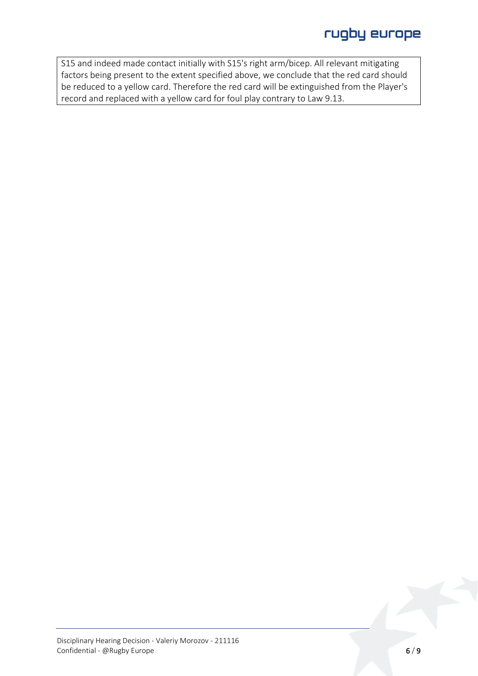S15 and indeed made contact initially with S15's right arm/bicep. All relevant mitigating factors being present to the extent specified above, we conclude that the red card should be reduced to a yellow card. Therefore the red card will be extinguished from the Player's record and replaced with a yellow card for foul play contrary to Law 9.13.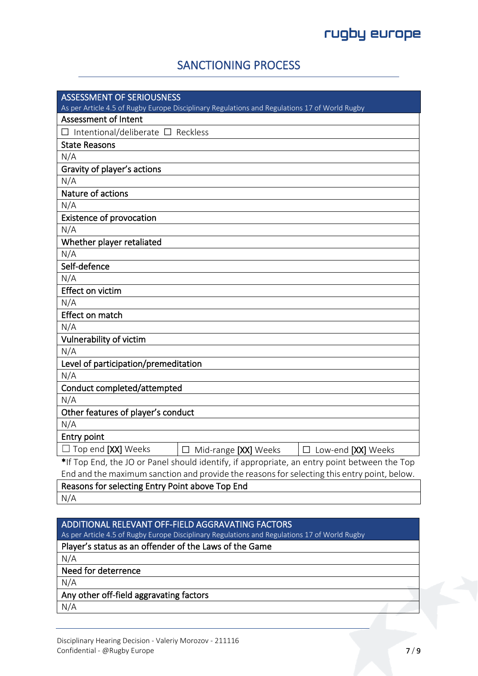### SANCTIONING PROCESS

| <b>ASSESSMENT OF SERIOUSNESS</b>                                                              |
|-----------------------------------------------------------------------------------------------|
| As per Article 4.5 of Rugby Europe Disciplinary Regulations and Regulations 17 of World Rugby |
| <b>Assessment of Intent</b>                                                                   |
| $\Box$ Intentional/deliberate $\Box$ Reckless                                                 |
| <b>State Reasons</b>                                                                          |
| N/A                                                                                           |
| Gravity of player's actions                                                                   |
| N/A                                                                                           |
| Nature of actions                                                                             |
| N/A                                                                                           |
| <b>Existence of provocation</b>                                                               |
| N/A                                                                                           |
| Whether player retaliated                                                                     |
| N/A                                                                                           |
| Self-defence                                                                                  |
| N/A                                                                                           |
| <b>Effect on victim</b>                                                                       |
| N/A                                                                                           |
| Effect on match                                                                               |
| N/A                                                                                           |
| Vulnerability of victim                                                                       |
| N/A                                                                                           |
| Level of participation/premeditation                                                          |
| N/A                                                                                           |
| Conduct completed/attempted                                                                   |
| N/A                                                                                           |
| Other features of player's conduct                                                            |
| N/A                                                                                           |
| <b>Entry point</b>                                                                            |
| $\Box$ Top end [XX] Weeks<br>$\Box$ Mid-range [XX] Weeks<br>$\Box$ Low-end [XX] Weeks         |
| *If Top End, the JO or Panel should identify, if appropriate, an entry point between the Top  |
| End and the maximum sanction and provide the reasons for selecting this entry point, below.   |
| Reasons for selecting Entry Point above Top End                                               |
| $N1/\Lambda$                                                                                  |

 $N/A$ 

### ADDITIONAL RELEVANT OFF-FIELD AGGRAVATING FACTORS

As per Article 4.5 of Rugby Europe Disciplinary Regulations and Regulations 17 of World Rugby

### Player's status as an offender of the Laws of the Game

N/A

Need for deterrence

N/A

#### Any other off-field aggravating factors

N/A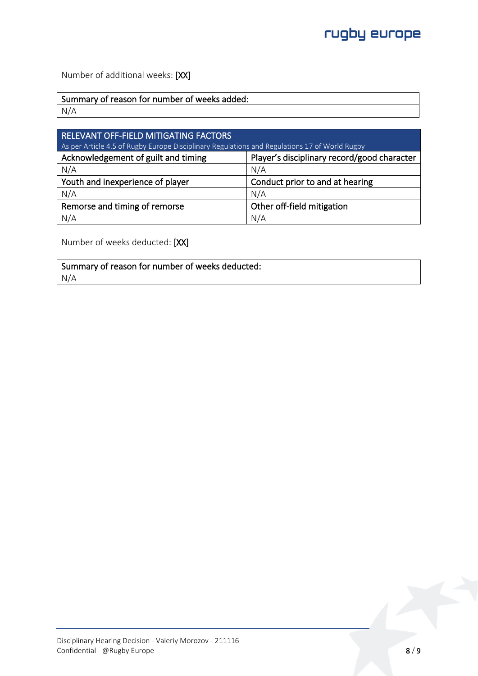Number of additional weeks: [XX]

Summary of reason for number of weeks added:

N/A

| RELEVANT OFF-FIELD MITIGATING FACTORS<br>As per Article 4.5 of Rugby Europe Disciplinary Regulations and Regulations 17 of World Rugby |                                 |  |
|----------------------------------------------------------------------------------------------------------------------------------------|---------------------------------|--|
| Acknowledgement of guilt and timing<br>Player's disciplinary record/good character                                                     |                                 |  |
| N/A                                                                                                                                    | N/A                             |  |
| Youth and inexperience of player                                                                                                       | Conduct prior to and at hearing |  |
| N/A                                                                                                                                    | N/A                             |  |
| Remorse and timing of remorse                                                                                                          | Other off-field mitigation      |  |
| N/A                                                                                                                                    | N/A                             |  |

Number of weeks deducted: [XX]

| Summary of reason for number of weeks deducted: |  |
|-------------------------------------------------|--|
| N/A                                             |  |